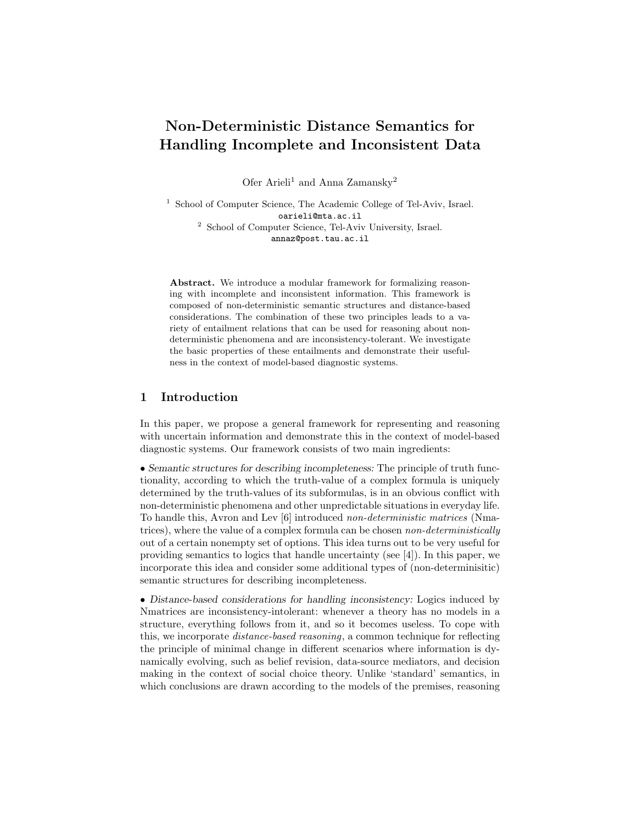# Non-Deterministic Distance Semantics for Handling Incomplete and Inconsistent Data

Ofer Arieli<sup>1</sup> and Anna Zamansky<sup>2</sup>

<sup>1</sup> School of Computer Science, The Academic College of Tel-Aviv, Israel. oarieli@mta.ac.il <sup>2</sup> School of Computer Science, Tel-Aviv University, Israel. annaz@post.tau.ac.il

Abstract. We introduce a modular framework for formalizing reasoning with incomplete and inconsistent information. This framework is composed of non-deterministic semantic structures and distance-based considerations. The combination of these two principles leads to a variety of entailment relations that can be used for reasoning about nondeterministic phenomena and are inconsistency-tolerant. We investigate the basic properties of these entailments and demonstrate their usefulness in the context of model-based diagnostic systems.

## 1 Introduction

In this paper, we propose a general framework for representing and reasoning with uncertain information and demonstrate this in the context of model-based diagnostic systems. Our framework consists of two main ingredients:

• Semantic structures for describing incompleteness: The principle of truth functionality, according to which the truth-value of a complex formula is uniquely determined by the truth-values of its subformulas, is in an obvious conflict with non-deterministic phenomena and other unpredictable situations in everyday life. To handle this, Avron and Lev [6] introduced non-deterministic matrices (Nmatrices), where the value of a complex formula can be chosen *non-deterministically* out of a certain nonempty set of options. This idea turns out to be very useful for providing semantics to logics that handle uncertainty (see [4]). In this paper, we incorporate this idea and consider some additional types of (non-determinisitic) semantic structures for describing incompleteness.

• Distance-based considerations for handling inconsistency: Logics induced by Nmatrices are inconsistency-intolerant: whenever a theory has no models in a structure, everything follows from it, and so it becomes useless. To cope with this, we incorporate distance-based reasoning, a common technique for reflecting the principle of minimal change in different scenarios where information is dynamically evolving, such as belief revision, data-source mediators, and decision making in the context of social choice theory. Unlike 'standard' semantics, in which conclusions are drawn according to the models of the premises, reasoning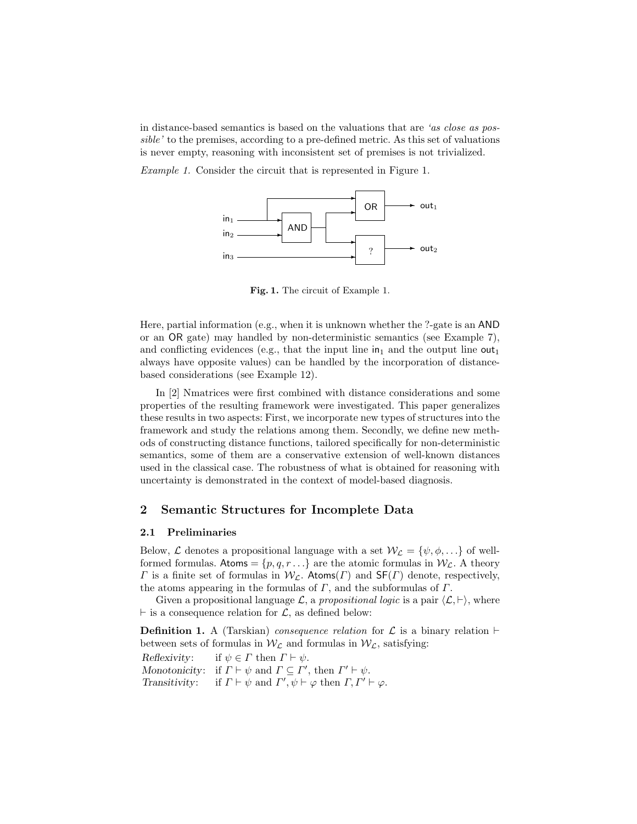in distance-based semantics is based on the valuations that are 'as close as possible' to the premises, according to a pre-defined metric. As this set of valuations is never empty, reasoning with inconsistent set of premises is not trivialized.

Example 1. Consider the circuit that is represented in Figure 1.



Fig. 1. The circuit of Example 1.

Here, partial information (e.g., when it is unknown whether the ?-gate is an AND or an OR gate) may handled by non-deterministic semantics (see Example 7), and conflicting evidences (e.g., that the input line  $in_1$  and the output line out<sub>1</sub> always have opposite values) can be handled by the incorporation of distancebased considerations (see Example 12).

In [2] Nmatrices were first combined with distance considerations and some properties of the resulting framework were investigated. This paper generalizes these results in two aspects: First, we incorporate new types of structures into the framework and study the relations among them. Secondly, we define new methods of constructing distance functions, tailored specifically for non-deterministic semantics, some of them are a conservative extension of well-known distances used in the classical case. The robustness of what is obtained for reasoning with uncertainty is demonstrated in the context of model-based diagnosis.

# 2 Semantic Structures for Incomplete Data

## 2.1 Preliminaries

Below,  $\mathcal L$  denotes a propositional language with a set  $\mathcal W_{\mathcal L} = \{\psi, \phi, \ldots\}$  of wellformed formulas. Atoms =  $\{p, q, r \ldots\}$  are the atomic formulas in  $W_c$ . A theory Γ is a finite set of formulas in  $W_{\mathcal{L}}$ . Atoms(Γ) and SF(Γ) denote, respectively, the atoms appearing in the formulas of  $\Gamma$ , and the subformulas of  $\Gamma$ .

Given a propositional language  $\mathcal{L}$ , a propositional logic is a pair  $\langle \mathcal{L}, \vdash \rangle$ , where  $\vdash$  is a consequence relation for  $\mathcal{L}$ , as defined below:

**Definition 1.** A (Tarskian) consequence relation for  $\mathcal{L}$  is a binary relation  $\vdash$ between sets of formulas in  $W_{\mathcal{L}}$  and formulas in  $W_{\mathcal{L}}$ , satisfying:

Reflexivity: if  $\psi \in \Gamma$  then  $\Gamma \vdash \psi$ . Monotonicity: if  $\Gamma \vdash \psi$  and  $\Gamma \subseteq \Gamma'$ , then  $\Gamma' \vdash \psi$ . Transitivity: if  $\Gamma \vdash \psi$  and  $\Gamma', \psi \vdash \varphi$  then  $\Gamma, \Gamma' \vdash \varphi$ .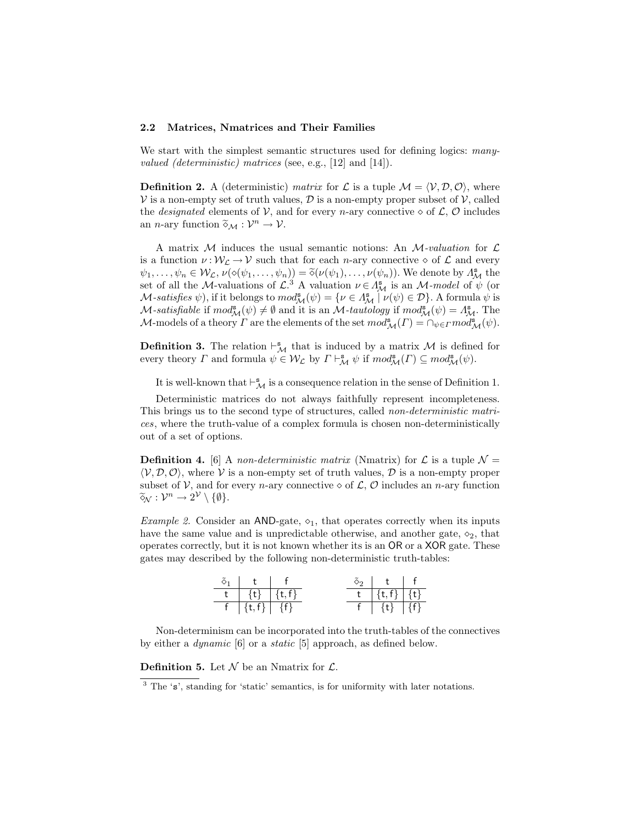## 2.2 Matrices, Nmatrices and Their Families

We start with the simplest semantic structures used for defining logics: many*valued (deterministic) matrices* (see, e.g., [12] and [14]).

**Definition 2.** A (deterministic) matrix for L is a tuple  $\mathcal{M} = \langle \mathcal{V}, \mathcal{D}, \mathcal{O} \rangle$ , where  $V$  is a non-empty set of truth values,  $D$  is a non-empty proper subset of  $V$ , called the *designated* elements of V, and for every *n*-ary connective  $\diamond$  of L, O includes an *n*-ary function  $\widetilde{\diamond}_{\mathcal{M}} : \mathcal{V}^n \to \mathcal{V}$ .

A matrix M induces the usual semantic notions: An  $\mathcal{M}$ -valuation for  $\mathcal{L}$ is a function  $\nu : \mathcal{W}_{\mathcal{L}} \to \mathcal{V}$  such that for each *n*-ary connective  $\diamond$  of  $\mathcal{L}$  and every  $\psi_1, \ldots, \psi_n \in \mathcal{W}_\mathcal{L}, \nu(\diamond(\psi_1, \ldots, \psi_n)) = \widetilde{\diamond}(\nu(\psi_1), \ldots, \nu(\psi_n)).$  We denote by  $\Lambda^s_\mathcal{M}$  the set of all the  $\Lambda$  valuations of  $\mathcal{L}^3$  a valuation  $\mathcal{U} \in \Lambda^s$  is an  $\Lambda$  model of  $\psi$  (or set of all the M-valuations of  $\mathcal{L}^3$  A valuation  $\nu \in \Lambda^s$  is an M-model of  $\psi$  (or M-satisfies  $\psi$ ), if it belongs to  $mod_{\mathcal{M}}^s(\psi) = \{ \nu \in \Lambda_{\mathcal{M}}^s \mid \nu(\psi) \in \mathcal{D} \}$ . A formula  $\psi$  is M-satisfiable if  $mod^s_{\mathcal{M}}(\psi) \neq \emptyset$  and it is an M-tautology if  $mod^s_{\mathcal{M}}(\psi) = \Lambda^s_{\mathcal{M}}$ . The M-models of a theory  $\Gamma$  are the elements of the set  $mod_{\mathcal{M}}^s(\Gamma) = \cap_{\psi \in \Gamma} mod_{\mathcal{M}}^s(\psi)$ .

**Definition 3.** The relation  $\vdash^s_{\mathcal{M}}$  that is induced by a matrix  $\mathcal{M}$  is defined for every theory  $\Gamma$  and formula  $\psi \in \mathcal{W}_\mathcal{L}$  by  $\Gamma \vdash^{\mathbf{s}}_{\mathcal{M}} \psi$  if  $mod^{\mathbf{s}}_{\mathcal{M}}(\Gamma) \subseteq mod^{\mathbf{s}}_{\mathcal{M}}(\psi)$ .

It is well-known that  $\vdash^{\mathbf{s}}_{\mathcal{M}}$  is a consequence relation in the sense of Definition 1.

Deterministic matrices do not always faithfully represent incompleteness. This brings us to the second type of structures, called non-deterministic matrices, where the truth-value of a complex formula is chosen non-deterministically out of a set of options.

**Definition 4.** [6] A non-deterministic matrix (Nmatrix) for  $\mathcal{L}$  is a tuple  $\mathcal{N} =$  $\langle V, \mathcal{D}, \mathcal{O} \rangle$ , where V is a non-empty set of truth values,  $\mathcal{D}$  is a non-empty proper subset of V, and for every *n*-ary connective  $\diamond$  of L, O includes an *n*-ary function  $\widetilde{\diamond}_{\mathcal{N}}:\mathcal{V}^n\to 2^{\mathcal{V}}\setminus\{\emptyset\}.$ 

*Example 2.* Consider an AND-gate,  $\diamond_1$ , that operates correctly when its inputs have the same value and is unpredictable otherwise, and another gate,  $\diamond_2$ , that operates correctly, but it is not known whether its is an OR or a XOR gate. These gates may described by the following non-deterministic truth-tables:

| $\{t\}$ $\{t,f\}$    |  | $\{t,f\}$   $\cdot$ | {t∤ |
|----------------------|--|---------------------|-----|
| $\{t, f\}$   $\{f\}$ |  | $\{t\}$             |     |

Non-determinism can be incorporated into the truth-tables of the connectives by either a dynamic [6] or a static [5] approach, as defined below.

**Definition 5.** Let  $\mathcal N$  be an Nmatrix for  $\mathcal L$ .

<sup>3</sup> The 's', standing for 'static' semantics, is for uniformity with later notations.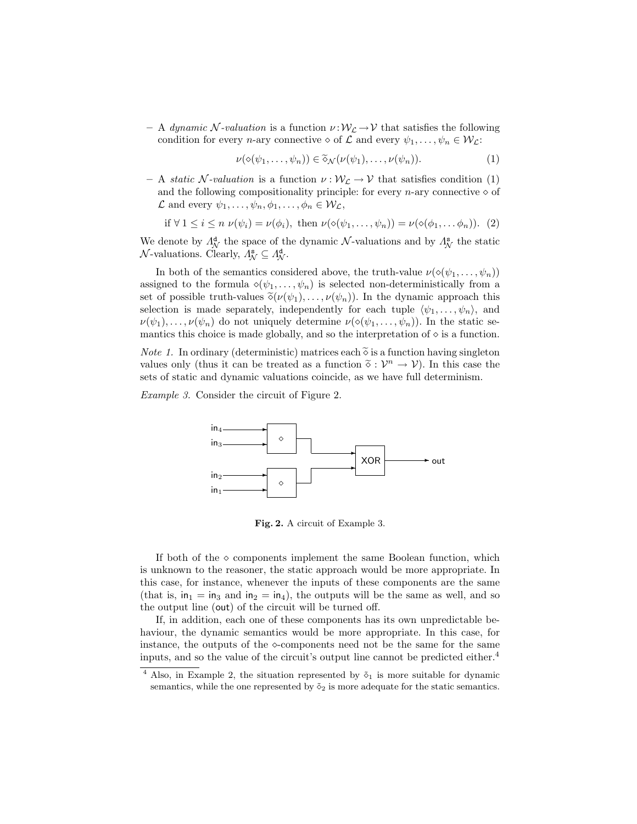– A dynamic N-valuation is a function  $\nu : \mathcal{W}_{\mathcal{L}} \to \mathcal{V}$  that satisfies the following condition for every *n*-ary connective  $\diamond$  of  $\mathcal L$  and every  $\psi_1, \ldots, \psi_n \in \mathcal W_{\mathcal L}$ :

$$
\nu(\diamond(\psi_1,\ldots,\psi_n))\in\widetilde{\diamond}_{\mathcal{N}}(\nu(\psi_1),\ldots,\nu(\psi_n)).\tag{1}
$$

– A static N-valuation is a function  $\nu : \mathcal{W}_{\mathcal{L}} \to \mathcal{V}$  that satisfies condition (1) and the following compositionality principle: for every *n*-ary connective  $\diamond$  of  $\mathcal L$  and every  $\psi_1, \ldots, \psi_n, \phi_1, \ldots, \phi_n \in \mathcal W_{\mathcal L}$ ,

if 
$$
\forall 1 \leq i \leq n \nu(\psi_i) = \nu(\phi_i)
$$
, then  $\nu(\diamond(\psi_1, \dots, \psi_n)) = \nu(\diamond(\phi_1, \dots, \phi_n))$ . (2)

We denote by  $\Lambda_N^d$  the space of the dynamic  $\mathcal N$ -valuations and by  $\Lambda_N^s$  the static  $\mathcal{N}\text{-valuations. Clearly, } \Lambda^{\mathbf{s}}_{\mathcal{N}} \subseteq \Lambda^{\mathbf{d}}_{\mathcal{N}}.$ 

In both of the semantics considered above, the truth-value  $\nu(\diamond(\psi_1,\ldots,\psi_n))$ assigned to the formula  $\diamond(\psi_1,\ldots,\psi_n)$  is selected non-deterministically from a set of possible truth-values  $\tilde{\diamond}(\nu(\psi_1), \ldots, \nu(\psi_n))$ . In the dynamic approach this selection is made separately, independently for each tuple  $\langle \psi_1, \ldots, \psi_n \rangle$ , and  $\nu(\psi_1), \ldots, \nu(\psi_n)$  do not uniquely determine  $\nu(\diamond(\psi_1, \ldots, \psi_n))$ . In the static semantics this choice is made globally, and so the interpretation of  $\diamond$  is a function.

*Note 1.* In ordinary (deterministic) matrices each  $\tilde{\diamond}$  is a function having singleton values only (thus it can be treated as a function  $\tilde{\diamond}: \mathcal{V}^n \to \mathcal{V}$ ). In this case the sets of static and dynamic valuations coincide, as we have full determinism.

Example 3. Consider the circuit of Figure 2.



Fig. 2. A circuit of Example 3.

If both of the  $\circ$  components implement the same Boolean function, which is unknown to the reasoner, the static approach would be more appropriate. In this case, for instance, whenever the inputs of these components are the same (that is,  $in_1 = in_3$  and  $in_2 = in_4$ ), the outputs will be the same as well, and so the output line (out) of the circuit will be turned off.

If, in addition, each one of these components has its own unpredictable behaviour, the dynamic semantics would be more appropriate. In this case, for instance, the outputs of the  $\infty$ -components need not be the same for the same inputs, and so the value of the circuit's output line cannot be predicted either.<sup>4</sup>

<sup>&</sup>lt;sup>4</sup> Also, in Example 2, the situation represented by  $\tilde{\diamond}_1$  is more suitable for dynamic semantics, while the one represented by  $\tilde{\diamond}_2$  is more adequate for the static semantics.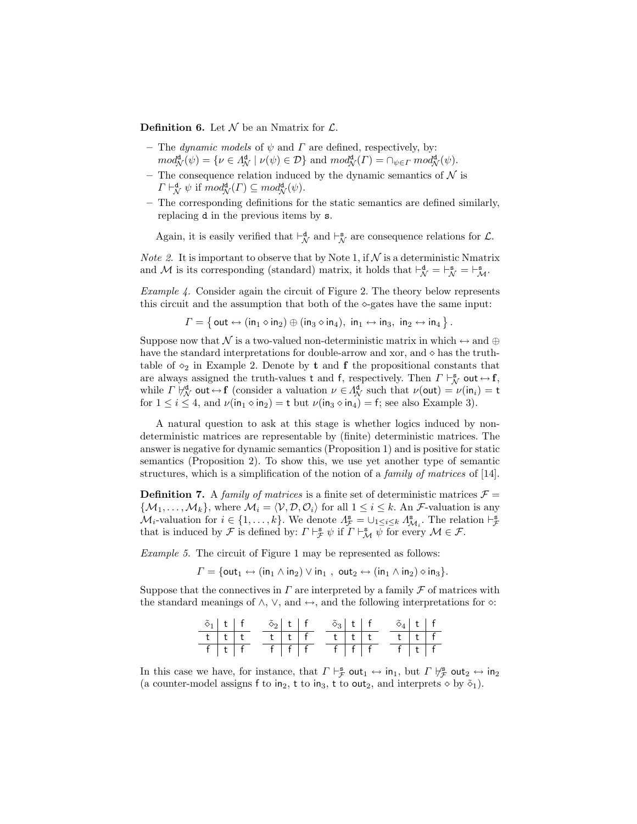**Definition 6.** Let  $\mathcal N$  be an Nmatrix for  $\mathcal L$ .

- The dynamic models of  $\psi$  and  $\Gamma$  are defined, respectively, by:  $mod_{\mathcal{N}}^{\mathbf{d}}(\psi) = \{ \nu \in \Lambda_{\mathcal{N}}^{\mathbf{d}} \mid \nu(\psi) \in \mathcal{D} \}$  and  $mod_{\mathcal{N}}^{\mathbf{d}}(\Gamma) = \cap_{\psi \in \Gamma} mod_{\mathcal{N}}^{\mathbf{d}}(\psi)$ .
- The consequence relation induced by the dynamic semantics of  $\mathcal N$  is  $\Gamma \vdash_{\mathcal{N}}^{\mathbf{d}} \psi$  if  $mod_{\mathcal{N}}^{\mathbf{d}}(\Gamma) \subseteq mod_{\mathcal{N}}^{\mathbf{d}}(\psi)$ .
- The corresponding definitions for the static semantics are defined similarly, replacing d in the previous items by s.

Again, it is easily verified that  $\vdash_{\mathcal{N}}^{\mathbf{d}}$  and  $\vdash_{\mathcal{N}}^{\mathbf{s}}$  are consequence relations for  $\mathcal{L}$ .

*Note 2.* It is important to observe that by Note 1, if  $N$  is a deterministic Nmatrix and M is its corresponding (standard) matrix, it holds that  $\vdash_N^d = \vdash_N^s = \vdash_N^s$ .

Example 4. Consider again the circuit of Figure 2. The theory below represents this circuit and the assumption that both of the  $\Diamond$ -gates have the same input:

 $\Gamma=\left\{\, \mathsf{out}\leftrightarrow(\mathsf{in}_1\diamond\mathsf{in}_2)\oplus(\mathsf{in}_3\diamond\mathsf{in}_4),\;\mathsf{in}_1\leftrightarrow\mathsf{in}_3,\;\mathsf{in}_2\leftrightarrow\mathsf{in}_4\,\right\}.$ 

Suppose now that N is a two-valued non-deterministic matrix in which  $\leftrightarrow$  and  $\oplus$ have the standard interpretations for double-arrow and xor, and  $\diamond$  has the truthtable of  $\diamond_2$  in Example 2. Denote by **t** and **f** the propositional constants that are always assigned the truth-values t and f, respectively. Then  $\Gamma \vdash_N^s \text{out} \leftrightarrow \text{f}$ , while  $\Gamma \not\vdash_{\mathcal{N}}^{\mathbf{d}}$  out  $\leftrightarrow$  f (consider a valuation  $\nu \in \Lambda^{\mathbf{d}}_{\mathcal{N}}$  such that  $\nu(\text{out}) = \nu(\text{in}_i) = \text{t}$ for  $1 \leq i \leq 4$ , and  $\nu(\text{in}_1 \diamond \text{in}_2) = \text{t}$  but  $\nu(\text{in}_3 \diamond \text{in}_4) = \text{f}$ ; see also Example 3).

A natural question to ask at this stage is whether logics induced by nondeterministic matrices are representable by (finite) deterministic matrices. The answer is negative for dynamic semantics (Proposition 1) and is positive for static semantics (Proposition 2). To show this, we use yet another type of semantic structures, which is a simplification of the notion of a family of matrices of [14].

**Definition 7.** A family of matrices is a finite set of deterministic matrices  $\mathcal{F} =$  $\{\mathcal{M}_1, \ldots, \mathcal{M}_k\},\$  where  $\mathcal{M}_i = \langle \mathcal{V}, \mathcal{D}, \mathcal{O}_i \rangle$  for all  $1 \leq i \leq k$ . An *F*-valuation is any  $\mathcal{M}_i$ -valuation for  $i \in \{1, ..., k\}$ . We denote  $\Lambda_{\mathcal{F}}^{\mathbf{s}} = \cup_{1 \leq i \leq k} \Lambda_{\mathcal{M}_i}^{\mathbf{s}}$ . The relation  $\vdash_{\mathcal{F}}^{\mathbf{s}}$ that is induced by  $\mathcal F$  is defined by:  $\Gamma \vdash_{\mathcal F}^s \psi$  if  $\Gamma \vdash_M^s \psi$  for every  $\mathcal M \in \mathcal F$ .

Example 5. The circuit of Figure 1 may be represented as follows:

 $\Gamma = \{ \text{out}_1 \leftrightarrow (\text{in}_1 \wedge \text{in}_2) \vee \text{in}_1, \text{ out}_2 \leftrightarrow (\text{in}_1 \wedge \text{in}_2) \diamond \text{in}_3 \}.$ 

Suppose that the connectives in  $\Gamma$  are interpreted by a family  $\mathcal F$  of matrices with the standard meanings of  $\land$ ,  $\lor$ , and  $\leftrightarrow$ , and the following interpretations for  $\diamond$ :

| $\delta_1$ t f |                 | $\tilde{\diamond}_2$   t   f |                   |  | $\tilde{\diamond}_3$   t   f |                 |  | $\delta_4$ t f |                   |  |
|----------------|-----------------|------------------------------|-------------------|--|------------------------------|-----------------|--|----------------|-------------------|--|
|                | $t$   $t$   $t$ |                              | $t \mid t \mid f$ |  |                              | $t$   $t$   $t$ |  |                | $t \mid t \mid f$ |  |
| f   t   f      |                 | f   f   f                    |                   |  | f   f   f                    |                 |  | f   t   f      |                   |  |

In this case we have, for instance, that  $\Gamma \vdash_{\mathcal{F}}^s \text{out}_1 \leftrightarrow \text{in}_1$ , but  $\Gamma \not\vdash_{\mathcal{F}}^s \text{out}_2 \leftrightarrow \text{in}_2$ (a counter-model assigns f to  $in_2$ , t to  $in_3$ , t to out<sub>2</sub>, and interprets  $\diamond$  by  $\tilde{\diamond}_1$ ).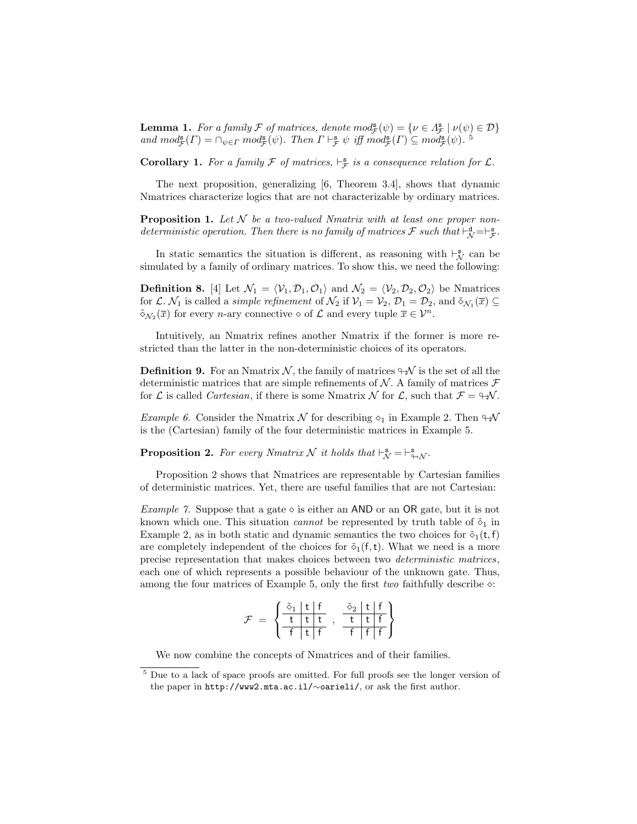**Lemma 1.** For a family  $\mathcal F$  of matrices, denote  $mod_{\mathcal F}^{\mathbf s}(\psi) = {\psi \in A_{\mathcal F}^{\mathbf s} \mid \nu(\psi) \in \mathcal D}$ and  $mod_{\mathcal{F}}^{\mathbf{s}}(\Gamma) = \bigcap_{\psi \in \Gamma} mod_{\mathcal{F}}^{\mathbf{s}}(\psi)$ . Then  $\Gamma \vdash_{\mathcal{F}}^{\mathbf{s}} \psi$  iff  $mod_{\mathcal{F}}^{\mathbf{s}}(\Gamma) \subseteq mod_{\mathcal{F}}^{\mathbf{s}}(\psi)$ . <sup>5</sup>

**Corollary 1.** For a family  $\mathcal F$  of matrices,  $\vdash_{\mathcal F}^s$  is a consequence relation for  $\mathcal L$ .

The next proposition, generalizing [6, Theorem 3.4], shows that dynamic Nmatrices characterize logics that are not characterizable by ordinary matrices.

**Proposition 1.** Let  $N$  be a two-valued Nmatrix with at least one proper nondeterministic operation. Then there is no family of matrices  $\mathcal F$  such that  $\vdash^{\mathtt{d}}_{\mathcal N}=\vdash^{\mathtt{s}}_{\mathcal F}.$ 

In static semantics the situation is different, as reasoning with  $\vdash_N^s$  can be simulated by a family of ordinary matrices. To show this, we need the following:

**Definition 8.** [4] Let  $\mathcal{N}_1 = \langle \mathcal{V}_1, \mathcal{D}_1, \mathcal{O}_1 \rangle$  and  $\mathcal{N}_2 = \langle \mathcal{V}_2, \mathcal{D}_2, \mathcal{O}_2 \rangle$  be Nmatrices for L.  $\mathcal{N}_1$  is called a *simple refinement* of  $\mathcal{N}_2$  if  $\mathcal{V}_1 = \mathcal{V}_2$ ,  $\mathcal{D}_1 = \mathcal{D}_2$ , and  $\tilde{\diamond}_{\mathcal{N}_1}(\overline{x}) \subseteq$  $\tilde{\diamond}_{\mathcal{N}_2}(\overline{x})$  for every *n*-ary connective  $\diamond$  of  $\mathcal L$  and every tuple  $\overline{x} \in \mathcal V^n$ .

Intuitively, an Nmatrix refines another Nmatrix if the former is more restricted than the latter in the non-deterministic choices of its operators.

**Definition 9.** For an Nmatrix N, the family of matrices  $\forall$  is the set of all the deterministic matrices that are simple refinements of  $N$ . A family of matrices  $\mathcal F$ for  $\mathcal L$  is called *Cartesian*, if there is some Nmatrix  $\mathcal N$  for  $\mathcal L$ , such that  $\mathcal F = \forall \mathcal N$ .

*Example 6.* Consider the Nmatrix  $\mathcal N$  for describing  $\diamond_1$  in Example 2. Then  $\mathcal W$ is the (Cartesian) family of the four deterministic matrices in Example 5.

**Proposition 2.** For every Nmatrix N it holds that  $\vdash_{\mathcal{N}}^{\mathbf{s}} = \vdash_{\Leftrightarrow \mathcal{N}}^{\mathbf{s}}$ .

Proposition 2 shows that Nmatrices are representable by Cartesian families of deterministic matrices. Yet, there are useful families that are not Cartesian:

*Example 7.* Suppose that a gate  $\diamond$  is either an AND or an OR gate, but it is not known which one. This situation *cannot* be represented by truth table of  $\tilde{\delta}_1$  in Example 2, as in both static and dynamic semantics the two choices for  $\tilde{\diamond}_1(t,f)$ are completely independent of the choices for  $\tilde{\diamond}_1(f,t)$ . What we need is a more precise representation that makes choices between two deterministic matrices, each one of which represents a possible behaviour of the unknown gate. Thus, among the four matrices of Example 5, only the first *two* faithfully describe  $\infty$ :

$$
\mathcal{F} \ = \ \left\{ \begin{array}{c|c} \tilde{\diamond}_1 \ \ \text{t} \ \ \text{t} \\ \hline \ \text{t} \ \ \text{t} \ \ \text{t} \\ \hline \ \text{f} \ \ \text{t} \ \ \text{f} \end{array} \right. , \ \ \begin{array}{c} \tilde{\diamond}_2 \ \ \text{t} \ \ \text{f} \\ \hline \ \text{t} \ \ \text{t} \ \ \text{f} \\ \end{array} \right\}
$$

We now combine the concepts of Nmatrices and of their families.

<sup>5</sup> Due to a lack of space proofs are omitted. For full proofs see the longer version of the paper in http://www2.mta.ac.il/∼oarieli/, or ask the first author.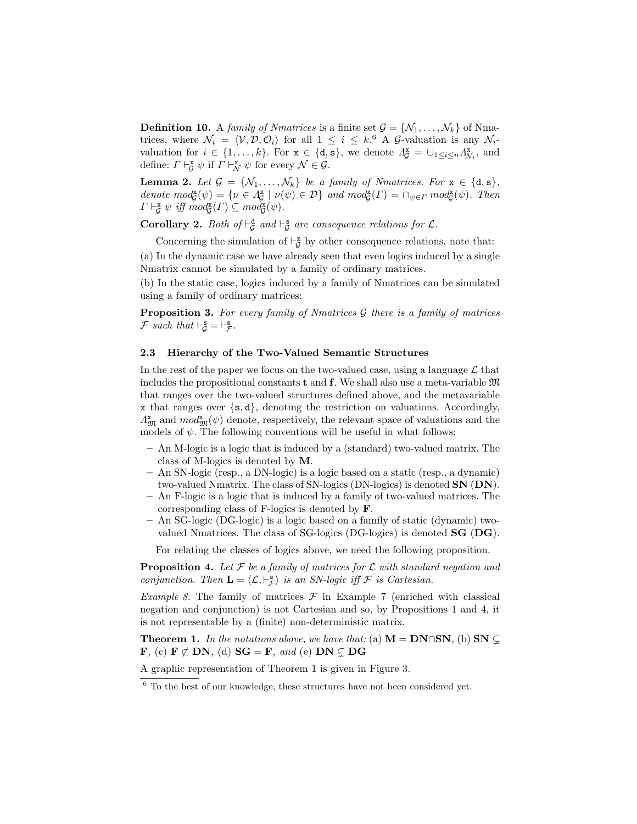**Definition 10.** A family of Nmatrices is a finite set  $\mathcal{G} = \{N_1, \ldots, N_k\}$  of Nmatrices, where  $\mathcal{N}_i = \langle \mathcal{V}, \mathcal{D}, \mathcal{O}_i \rangle$  for all  $1 \leq i \leq k$ .<sup>6</sup> A G-valuation is any  $\mathcal{N}_i$ valuation for  $i \in \{1, ..., k\}$ . For  $\mathbf{x} \in \{\mathbf{d}, \mathbf{s}\}\)$ , we denote  $\Lambda_{\mathcal{G}}^{\mathbf{x}} = \cup_{1 \leq i \leq n} \Lambda_{\mathcal{N}_i}^{\mathbf{x}}$ , and define:  $\Gamma \vdash_{\mathcal{G}}^{\mathbf{x}} \psi$  if  $\Gamma \vdash_{\mathcal{N}}^{\mathbf{x}} \psi$  for every  $\mathcal{N} \in \mathcal{G}$ .

**Lemma 2.** Let  $\mathcal{G} = \{N_1, \ldots, N_k\}$  be a family of Nmatrices. For  $\mathbf{x} \in \{\texttt{d}, \texttt{s}\},\$ denote  $mod_{\mathcal{G}}^{\mathbf{x}}(\psi) = \{ \nu \in \Lambda_{\mathcal{G}}^{\mathbf{x}} \mid \nu(\psi) \in \mathcal{D} \}$  and  $mod_{\mathcal{G}}^{\mathbf{x}}(\Gamma) = \cap_{\psi \in \Gamma} mod_{\mathcal{G}}^{\mathbf{x}}(\psi)$ . Then  $\Gamma \vdash^{\mathbf{x}}_{\mathcal{G}} \psi \text{ iff } mod_{\mathcal{G}}^{\mathbf{x}}(\Gamma) \subseteq mod_{\mathcal{G}}^{\mathbf{x}}(\psi).$ 

**Corollary 2.** Both of  $\vdash^{\mathbf{d}}_{\mathcal{G}}$  and  $\vdash^{\mathbf{s}}_{\mathcal{G}}$  are consequence relations for  $\mathcal{L}$ .

Concerning the simulation of  $\vdash_{\mathcal{G}}^{\mathbf{x}}$  by other consequence relations, note that:

(a) In the dynamic case we have already seen that even logics induced by a single Nmatrix cannot be simulated by a family of ordinary matrices.

(b) In the static case, logics induced by a family of Nmatrices can be simulated using a family of ordinary matrices:

**Proposition 3.** For every family of Nmatrices  $\mathcal G$  there is a family of matrices  $\mathcal F$  such that  $\vdash_{\mathcal G}^{\mathbf{s}} = \vdash_{\mathcal F}^{\mathbf{s}}$ .

## 2.3 Hierarchy of the Two-Valued Semantic Structures

In the rest of the paper we focus on the two-valued case, using a language  $\mathcal L$  that includes the propositional constants  $t$  and  $f$ . We shall also use a meta-variable  $\mathfrak{M}$ that ranges over the two-valued structures defined above, and the metavariable x that ranges over {s, d}, denoting the restriction on valuations. Accordingly,  $\Lambda_{\mathfrak{M}}^{\mathbf{x}}$  and  $mod_{\mathfrak{M}}^{\mathbf{x}}(\psi)$  denote, respectively, the relevant space of valuations and the models of  $\psi$ . The following conventions will be useful in what follows:

- An M-logic is a logic that is induced by a (standard) two-valued matrix. The class of M-logics is denoted by M.
- An SN-logic (resp., a DN-logic) is a logic based on a static (resp., a dynamic) two-valued Nmatrix. The class of SN-logics (DN-logics) is denoted SN (DN).
- An F-logic is a logic that is induced by a family of two-valued matrices. The corresponding class of F-logics is denoted by F.
- An SG-logic (DG-logic) is a logic based on a family of static (dynamic) twovalued Nmatrices. The class of SG-logics (DG-logics) is denoted SG (DG).

For relating the classes of logics above, we need the following proposition.

**Proposition 4.** Let  $\mathcal F$  be a family of matrices for  $\mathcal L$  with standard negation and conjunction. Then  $\mathbf{L} = \langle \mathcal{L}, \vdash_{\mathcal{F}}^s \rangle$  is an SN-logic iff  $\mathcal F$  is Cartesian.

*Example 8.* The family of matrices  $\mathcal F$  in Example 7 (enriched with classical negation and conjunction) is not Cartesian and so, by Propositions 1 and 4, it is not representable by a (finite) non-deterministic matrix.

**Theorem 1.** In the notations above, we have that: (a)  $M = DN \cap SN$ , (b)  $SN \subsetneq$ **F**, (c) **F**  $\not\subset$  **DN**, (d) **SG** = **F**, and (e) **DN**  $\subset$  **DG** 

A graphic representation of Theorem 1 is given in Figure 3.

 $\frac{6}{6}$  To the best of our knowledge, these structures have not been considered yet.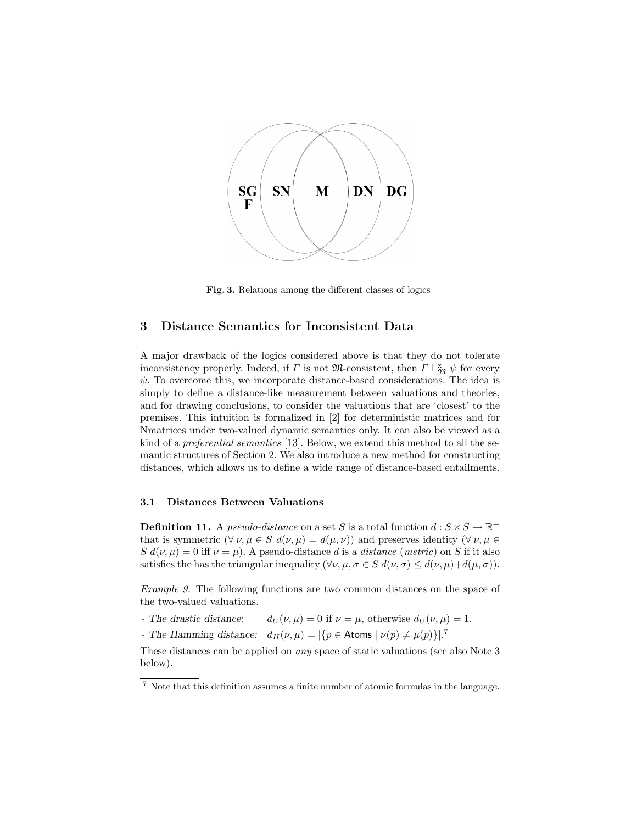

Fig. 3. Relations among the different classes of logics

## 3 Distance Semantics for Inconsistent Data

A major drawback of the logics considered above is that they do not tolerate inconsistency properly. Indeed, if  $\Gamma$  is not  $\mathfrak{M}$ -consistent, then  $\Gamma \vdash_{\mathfrak{M}}^{\mathbf{x}} \psi$  for every  $\psi$ . To overcome this, we incorporate distance-based considerations. The idea is simply to define a distance-like measurement between valuations and theories, and for drawing conclusions, to consider the valuations that are 'closest' to the premises. This intuition is formalized in [2] for deterministic matrices and for Nmatrices under two-valued dynamic semantics only. It can also be viewed as a kind of a preferential semantics [13]. Below, we extend this method to all the semantic structures of Section 2. We also introduce a new method for constructing distances, which allows us to define a wide range of distance-based entailments.

## 3.1 Distances Between Valuations

**Definition 11.** A *pseudo-distance* on a set S is a total function  $d : S \times S \to \mathbb{R}^+$ that is symmetric  $(\forall \nu, \mu \in S \ d(\nu, \mu) = d(\mu, \nu))$  and preserves identity  $(\forall \nu, \mu \in S \ d(\nu, \mu))$  $S d(\nu, \mu) = 0$  iff  $\nu = \mu$ ). A pseudo-distance d is a distance (metric) on S if it also satisfies the has the triangular inequality  $(\forall \nu, \mu, \sigma \in S \, d(\nu, \sigma) \leq d(\nu, \mu) + d(\mu, \sigma))$ .

Example 9. The following functions are two common distances on the space of the two-valued valuations.

- The drastic distance:  $d_U(\nu, \mu) = 0$  if  $\nu = \mu$ , otherwise  $d_U(\nu, \mu) = 1$ .
- The Hamming distance:  $d_H(\nu,\mu) = |\{p \in \text{Atoms} \mid \nu(p) \neq \mu(p)\}|^2$

These distances can be applied on any space of static valuations (see also Note 3 below).

<sup>7</sup> Note that this definition assumes a finite number of atomic formulas in the language.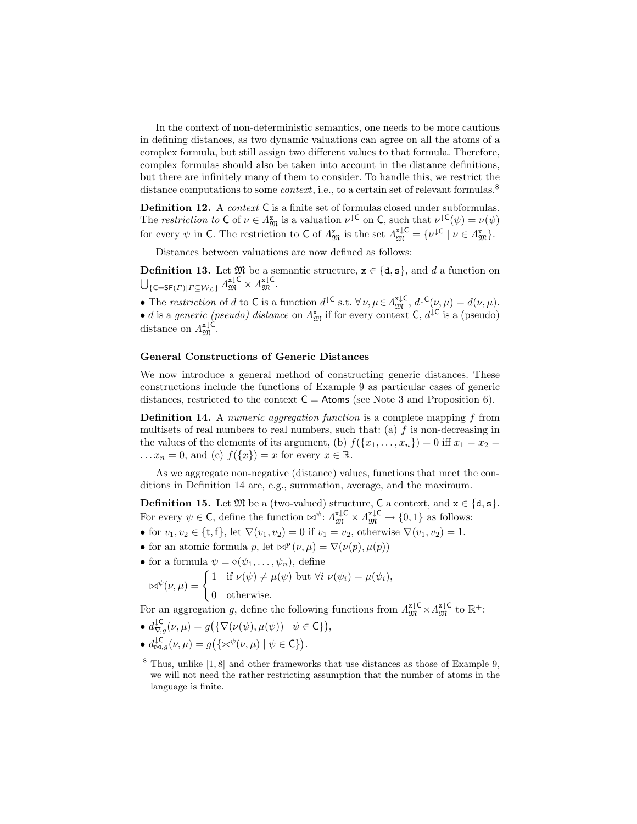In the context of non-deterministic semantics, one needs to be more cautious in defining distances, as two dynamic valuations can agree on all the atoms of a complex formula, but still assign two different values to that formula. Therefore, complex formulas should also be taken into account in the distance definitions, but there are infinitely many of them to consider. To handle this, we restrict the distance computations to some *context*, i.e., to a certain set of relevant formulas.<sup>8</sup>

**Definition 12.** A *context* C is a finite set of formulas closed under subformulas. The restriction to  $C$  of  $\nu \in A_{\mathfrak{M}}^{\mathbf{x}}$  is a valuation  $\nu^{\downarrow}C$  on  $C$ , such that  $\nu^{\downarrow}C(\psi) = \nu(\psi)$ for every  $\psi$  in C. The restriction to C of  $\Lambda_{\mathfrak{M}}^{\mathbf{x}}$  is the set  $\Lambda_{\mathfrak{M}}^{\mathbf{x},\downarrow\mathsf{C}} = {\{\nu^{\downarrow\mathsf{C}} \mid \nu \in \Lambda_{\mathfrak{M}}^{\mathbf{x}}\}}$ .

Distances between valuations are now defined as follows:

**Definition 13.** Let  $\mathfrak{M}$  be a semantic structure,  $\mathbf{x} \in \{\mathbf{d}, \mathbf{s}\}$ , and d a function on  $\bigcup_{\{\mathsf{C}=\mathsf{SF}(\varGamma)|\varGamma\subseteq\mathcal{W}_\mathcal{L}\}}\varLambda^{\mathtt{x}\downarrow\mathsf{C}}_\mathfrak{M}\times\varLambda^{\mathtt{x}\downarrow\mathsf{C}}_\mathfrak{M}.$ 

• The restriction of d to C is a function  $d^{\downarrow \mathsf{C}}$  s.t.  $\forall \nu, \mu \in A^{\mathsf{x} \downarrow \mathsf{C}}_{\mathfrak{M}}, d^{\downarrow \mathsf{C}}(\nu, \mu) = d(\nu, \mu)$ . • d is a generic (pseudo) distance on  $\Lambda_{\mathfrak{M}}^{\mathbf{x}}$  if for every context C,  $d^{\downarrow \mathsf{C}}$  is a (pseudo) distance on  $\Lambda_{\mathfrak{M}}^{\mathfrak{x}\downarrow\mathsf{C}}$ .

## General Constructions of Generic Distances

We now introduce a general method of constructing generic distances. These constructions include the functions of Example 9 as particular cases of generic distances, restricted to the context  $C =$  Atoms (see Note 3 and Proposition 6).

Definition 14. A numeric aggregation function is a complete mapping f from multisets of real numbers to real numbers, such that: (a)  $f$  is non-decreasing in the values of the elements of its argument, (b)  $f({x_1, \ldots, x_n}) = 0$  iff  $x_1 = x_2 =$  $\ldots x_n = 0$ , and (c)  $f({x}) = x$  for every  $x \in \mathbb{R}$ .

As we aggregate non-negative (distance) values, functions that meet the conditions in Definition 14 are, e.g., summation, average, and the maximum.

**Definition 15.** Let  $\mathfrak{M}$  be a (two-valued) structure, C a context, and  $x \in \{d, s\}$ . For every  $\psi \in \mathsf{C}$ , define the function  $\forall \psi \colon \Lambda_{\mathfrak{M}}^{\mathfrak{x} \downarrow \mathsf{C}} \times \Lambda_{\mathfrak{M}}^{\mathfrak{x} \downarrow \mathsf{C}} \to \{0,1\}$  as follows:

- for  $v_1, v_2 \in \{t, f\}$ , let  $\nabla(v_1, v_2) = 0$  if  $v_1 = v_2$ , otherwise  $\nabla(v_1, v_2) = 1$ .
- for an atomic formula p, let  $\bowtie^p(\nu,\mu) = \nabla(\nu(p), \mu(p))$
- for a formula  $\psi = \diamond(\psi_1, \ldots, \psi_n)$ , define

$$
\bowtie^{\psi}(\nu,\mu) = \begin{cases} 1 & \text{if } \nu(\psi) \neq \mu(\psi) \text{ but } \forall i \ \nu(\psi_i) = \mu(\psi_i), \\ 0 & \text{otherwise.} \end{cases}
$$

For an aggregation g, define the following functions from  $\Lambda_{\mathfrak{M}}^{x\downarrow\mathsf{C}} \times \Lambda_{\mathfrak{M}}^{x\downarrow\mathsf{C}}$  to  $\mathbb{R}^+$ :

• 
$$
d_{\nabla,g}^{\mathcal{L}}(\nu,\mu) = g(\{\nabla(\nu(\psi), \mu(\psi)) \mid \psi \in \mathsf{C}\}),
$$
  
\n•  $d_{\mathsf{PGL}}^{\mathcal{L}}(\nu,\mu) = g(\{\mathsf{PGL}}^{\psi}(\nu,\mu) \mid \psi \in \mathsf{C}\}).$ 

 $8$  Thus, unlike  $[1, 8]$  and other frameworks that use distances as those of Example 9, we will not need the rather restricting assumption that the number of atoms in the language is finite.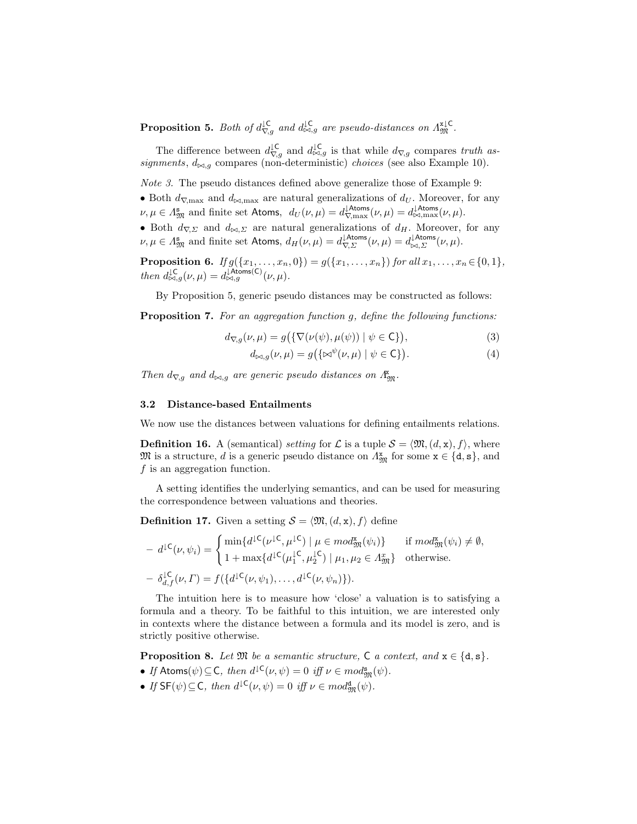**Proposition 5.** Both of  $d_{\nabla,g}^{\downarrow\mathsf{C}}$  and  $d_{\bowtie,g}^{\downarrow\mathsf{C}}$  are pseudo-distances on  $\Lambda_{\mathfrak{M}}^{\mathbf{x}\downarrow\mathsf{C}}$ .

The difference between  $d_{\nabla,g}^{\downarrow \mathsf{C}}$  and  $d_{\bowtie,g}^{\downarrow \mathsf{C}}$  is that while  $d_{\nabla,g}$  compares truth assignments,  $d_{\bowtie,q}$  compares (non-deterministic) choices (see also Example 10).

Note 3. The pseudo distances defined above generalize those of Example 9:

• Both  $d_{\nabla,\text{max}}$  and  $d_{\bowtie,\text{max}}$  are natural generalizations of  $d_U$ . Moreover, for any  $\nu, \mu \in \Lambda_{\mathfrak{M}}^{\mathbf{s}}$  and finite set Atoms,  $d_U(\nu, \mu) = d_{\nabla,\max}^{\text{lAtoms}}(\nu, \mu) = d_{\bowtie,\max}^{\text{lAtoms}}(\nu, \mu)$ .

• Both  $d_{\nabla,\Sigma}$  and  $d_{\bowtie,\Sigma}$  are natural generalizations of  $d_H$ . Moreover, for any  $\nu, \mu \in \Lambda_{\mathfrak{M}}^{\mathbf{s}}$  and finite set Atoms,  $d_H(\nu, \mu) = d_{\nabla, \Sigma}^{\text{lAtoms}}(\nu, \mu) = d_{\bowtie, \Sigma}^{\text{lAtoms}}(\nu, \mu)$ .

**Proposition 6.** If  $g(\{x_1, \ldots, x_n, 0\}) = g(\{x_1, \ldots, x_n\})$  for all  $x_1, \ldots, x_n \in \{0, 1\}$ , then  $d_{\bowtie,g}^{\downarrow \mathsf{C}}(\nu,\mu) = d_{\bowtie,g}^{\downarrow \mathsf{Atoms}(\mathsf{C})}(\nu,\mu).$ 

By Proposition 5, generic pseudo distances may be constructed as follows:

Proposition 7. For an aggregation function q, define the following functions:

$$
d_{\nabla,g}(\nu,\mu) = g\big(\{\nabla(\nu(\psi),\mu(\psi)) \mid \psi \in \mathsf{C}\}\big),\tag{3}
$$

$$
d_{\bowtie,g}(\nu,\mu) = g\big(\{\bowtie^{\psi}(\nu,\mu) \mid \psi \in \mathsf{C}\}\big).
$$
\n(4)

Then  $d_{\nabla,g}$  and  $d_{\bowtie,g}$  are generic pseudo distances on  $\Lambda_{\mathfrak{M}}^{\mathbf{x}}$ .

#### 3.2 Distance-based Entailments

We now use the distances between valuations for defining entailments relations.

**Definition 16.** A (semantical) setting for  $\mathcal{L}$  is a tuple  $\mathcal{S} = \langle \mathfrak{M},(d,\mathbf{x}), f \rangle$ , where  $\mathfrak{M}$  is a structure, d is a generic pseudo distance on  $\Lambda_{\mathfrak{M}}^{\mathbf{x}}$  for some  $\mathbf{x} \in \{\text{d}, \textbf{s}\}\,$ , and f is an aggregation function.

A setting identifies the underlying semantics, and can be used for measuring the correspondence between valuations and theories.

**Definition 17.** Given a setting  $S = \langle \mathfrak{M}, (d, x), f \rangle$  define

$$
- d^{1}\mathsf{C}(\nu, \psi_i) = \begin{cases} \min\{d^{1}\mathsf{C}(\nu^{1}\mathsf{C}, \mu^{1}\mathsf{C}) \mid \mu \in \mathit{mod}_{\mathfrak{M}}^{\mathbf{x}}(\psi_i)\} & \text{if } \mathit{mod}_{\mathfrak{M}}^{\mathbf{x}}(\psi_i) \neq \emptyset, \\ 1 + \max\{d^{1}\mathsf{C}(\mu_1^{1}\mathsf{C}, \mu_2^{1}\mathsf{C}) \mid \mu_1, \mu_2 \in A_{\mathfrak{M}}^{\mathbf{x}}\} & \text{otherwise.} \end{cases}
$$

$$
- \delta_{d,f}^{1}\mathsf{C}(\nu, \Gamma) = f(\{d^{1}\mathsf{C}(\nu, \psi_1), \dots, d^{1}\mathsf{C}(\nu, \psi_n)\}).
$$

The intuition here is to measure how 'close' a valuation is to satisfying a formula and a theory. To be faithful to this intuition, we are interested only in contexts where the distance between a formula and its model is zero, and is strictly positive otherwise.

**Proposition 8.** Let  $\mathfrak{M}$  be a semantic structure,  $\mathsf{C}$  a context, and  $\mathsf{x} \in \{\mathsf{d}, \mathsf{s}\}.$ 

- If Atoms $(\psi) \subseteq C$ , then  $d^{\downarrow C}(\nu, \psi) = 0$  iff  $\nu \in mod_{\mathfrak{M}}^{\mathbf{s}}(\psi)$ .
- If  $SF(\psi) \subseteq C$ , then  $d^{\downarrow C}(\nu, \psi) = 0$  iff  $\nu \in mod_{\mathfrak{M}}^{\mathbf{d}}(\psi)$ .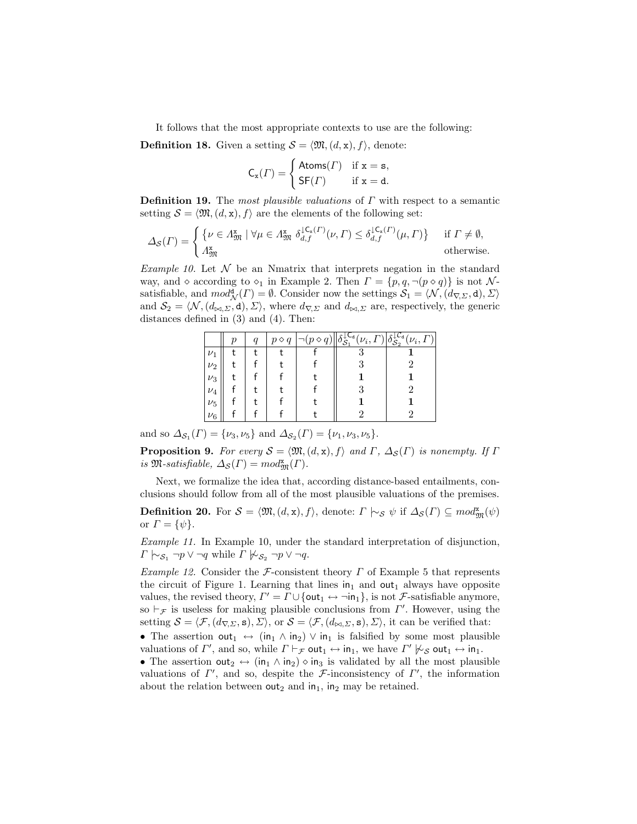It follows that the most appropriate contexts to use are the following:

**Definition 18.** Given a setting  $S = \langle \mathfrak{M}, (d, x), f \rangle$ , denote:

$$
\mathsf{C}_{\mathbf{x}}(\Gamma) = \begin{cases} \mathsf{Atoms}(\Gamma) & \text{if } \mathbf{x} = \mathbf{s}, \\ \mathsf{SF}(\Gamma) & \text{if } \mathbf{x} = \mathbf{d}. \end{cases}
$$

**Definition 19.** The most plausible valuations of  $\Gamma$  with respect to a semantic setting  $S = \langle \mathfrak{M}, (d, x), f \rangle$  are the elements of the following set:

$$
\Delta_{\mathcal{S}}(\Gamma) = \begin{cases} \{ \nu \in \Lambda_{\mathfrak{M}}^{\mathbf{x}} \mid \forall \mu \in \Lambda_{\mathfrak{M}}^{\mathbf{x}} \; \delta_{d,f}^{1\mathsf{C}_{\mathbf{x}}(\Gamma)}(\nu, \Gamma) \leq \delta_{d,f}^{1\mathsf{C}_{\mathbf{x}}(\Gamma)}(\mu, \Gamma) \} & \text{if } \Gamma \neq \emptyset, \\ \Lambda_{\mathfrak{M}}^{\mathbf{x}} & \text{otherwise.} \end{cases}
$$

Example 10. Let  $\mathcal N$  be an Nmatrix that interprets negation in the standard way, and  $\diamond$  according to  $\diamond_1$  in Example 2. Then  $\Gamma = \{p, q, \neg(p \diamond q)\}\$ is not Nsatisfiable, and  $mod^{\mathbf{d}}_{\mathcal{N}}(\Gamma) = \emptyset$ . Consider now the settings  $\mathcal{S}_1 = \langle \mathcal{N}, (d_{\nabla, \Sigma}, \mathbf{d}), \Sigma \rangle$ and  $S_2 = \langle \mathcal{N}, (d_{\bowtie, \Sigma}, d), \Sigma \rangle$ , where  $d_{\nabla, \Sigma}$  and  $d_{\bowtie, \Sigma}$  are, respectively, the generic distances defined in (3) and (4). Then:

|         | ŋ | $\overline{q}$ | $p \diamond q$ | .Cd<br>$(\nu_i, \underline{\mathbf{I}})$<br>$\mathcal{S}$ | $\sqrt[\mathfrak{c}]}$ $(\nu_i, j)$<br>$^{\prime}S_2$ |
|---------|---|----------------|----------------|-----------------------------------------------------------|-------------------------------------------------------|
| $\nu_1$ |   |                |                |                                                           |                                                       |
| $\nu_2$ |   |                |                |                                                           |                                                       |
| $\nu_3$ |   |                |                |                                                           |                                                       |
| $\nu_4$ |   |                |                |                                                           |                                                       |
| $\nu_5$ |   |                |                |                                                           |                                                       |
| $\nu_6$ |   |                |                |                                                           |                                                       |

and so  $\Delta_{\mathcal{S}_1}(\Gamma) = \{\nu_3, \nu_5\}$  and  $\Delta_{\mathcal{S}_2}(\Gamma) = \{\nu_1, \nu_3, \nu_5\}.$ 

**Proposition 9.** For every  $S = \langle \mathfrak{M}, (d, x), f \rangle$  and  $\Gamma$ ,  $\Delta_S(\Gamma)$  is nonempty. If  $\Gamma$ is  $\mathfrak{M}$ -satisfiable,  $\Delta_{\mathcal{S}}(\Gamma) = mod_{\mathfrak{M}}^{\mathbf{x}}(\Gamma)$ .

Next, we formalize the idea that, according distance-based entailments, conclusions should follow from all of the most plausible valuations of the premises.

**Definition 20.** For  $S = \langle \mathfrak{M}, (d, x), f \rangle$ , denote:  $\Gamma \models_{\mathcal{S}} \psi$  if  $\Delta_{\mathcal{S}}(\Gamma) \subseteq \mathfrak{mod}_{\mathfrak{M}}^{\mathbf{x}}(\psi)$ or  $\Gamma = {\psi}.$ 

Example 11. In Example 10, under the standard interpretation of disjunction,  $\Gamma \hspace{0.2em}\sim_{\mathcal{S}_1} \neg p \vee \neg q$  while  $\Gamma \not\sim_{\mathcal{S}_2} \neg p \vee \neg q$ .

Example 12. Consider the F-consistent theory  $\Gamma$  of Example 5 that represents the circuit of Figure 1. Learning that lines  $\mathsf{in}_1$  and out<sub>1</sub> always have opposite values, the revised theory,  $\Gamma' = \Gamma \cup \{out_1 \leftrightarrow \neg in_1\}$ , is not *F*-satisfiable anymore, so  $\vdash_{\mathcal{F}}$  is useless for making plausible conclusions from  $\Gamma'$ . However, using the setting  $S = \langle \mathcal{F},(d_{\nabla\Sigma},\mathbf{s}),\Sigma\rangle$ , or  $\mathcal{S} = \langle \mathcal{F},(d_{\bowtie\Sigma},\mathbf{s}),\Sigma\rangle$ , it can be verified that:

• The assertion out<sub>1</sub>  $\leftrightarrow$  (in<sub>1</sub>  $\land$  in<sub>2</sub>)  $\lor$  in<sub>1</sub> is falsified by some most plausible valuations of  $\Gamma'$ , and so, while  $\Gamma \vdash_{\mathcal{F}} \text{out}_1 \leftrightarrow \text{in}_1$ , we have  $\Gamma' \not\sim_{\mathcal{S}} \text{out}_1 \leftrightarrow \text{in}_1$ .

• The assertion out<sub>2</sub>  $\leftrightarrow$  (in<sub>1</sub>  $\land$  in<sub>2</sub>)  $\Diamond$  in<sub>3</sub> is validated by all the most plausible valuations of  $\Gamma'$ , and so, despite the *F*-inconsistency of  $\Gamma'$ , the information about the relation between  $out_2$  and  $in_1$ ,  $in_2$  may be retained.